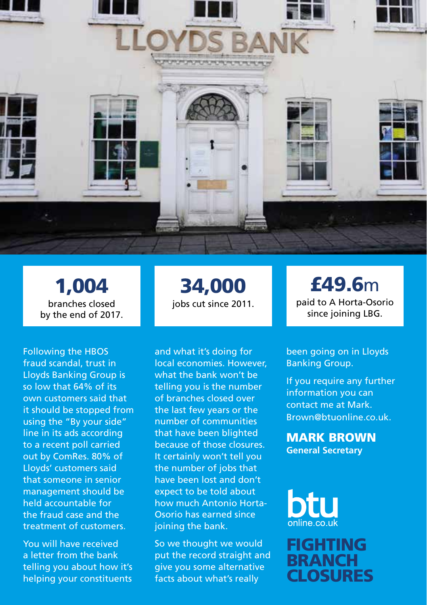

1,004 branches closed by the end of 2017.

Following the HBOS fraud scandal, trust in Lloyds Banking Group is so low that 64% of its own customers said that it should be stopped from using the "By your side" line in its ads according to a recent poll carried out by ComRes. 80% of Lloyds' customers said that someone in senior management should be held accountable for the fraud case and the treatment of customers.

You will have received a letter from the bank telling you about how it's helping your constituents

## 34,000 jobs cut since 2011.

and what it's doing for local economies. However, what the bank won't be telling you is the number of branches closed over the last few years or the number of communities that have been blighted because of those closures. It certainly won't tell you the number of jobs that have been lost and don't expect to be told about how much Antonio Horta-Osorio has earned since joining the bank.

So we thought we would put the record straight and give you some alternative facts about what's really

£49.6m paid to A Horta-Osorio since joining LBG.

been going on in Lloyds Banking Group.

If you require any further information you can contact me at Mark. Brown@btuonline.co.uk

MARK BROWN **General Secretary**

FIGHTING **BRANCH CLOSURES**